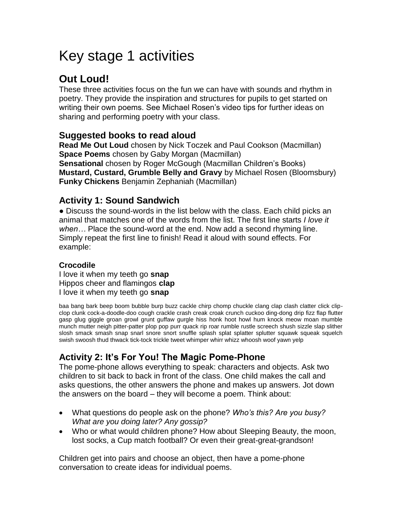# Key stage 1 activities

## **Out Loud!**

These three activities focus on the fun we can have with sounds and rhythm in poetry. They provide the inspiration and structures for pupils to get started on writing their own poems. See Michael Rosen's video tips for further ideas on sharing and performing poetry with your class.

#### **Suggested books to read aloud**

**Read Me Out Loud** chosen by Nick Toczek and Paul Cookson (Macmillan) **Space Poems** chosen by Gaby Morgan (Macmillan) **Sensational** chosen by Roger McGough (Macmillan Children's Books) **Mustard, Custard, Grumble Belly and Gravy** by Michael Rosen (Bloomsbury) **Funky Chickens** Benjamin Zephaniah (Macmillan)

#### **Activity 1: Sound Sandwich**

● Discuss the sound-words in the list below with the class. Each child picks an animal that matches one of the words from the list. The first line starts *I love it when…* Place the sound-word at the end. Now add a second rhyming line. Simply repeat the first line to finish! Read it aloud with sound effects. For example:

#### **Crocodile**

I love it when my teeth go **snap** Hippos cheer and flamingos **clap** I love it when my teeth go **snap**

baa bang bark beep boom bubble burp buzz cackle chirp chomp chuckle clang clap clash clatter click clipclop clunk cock-a-doodle-doo cough crackle crash creak croak crunch cuckoo ding-dong drip fizz flap flutter gasp glug giggle groan growl grunt guffaw gurgle hiss honk hoot howl hum knock meow moan mumble munch mutter neigh pitter-patter plop pop purr quack rip roar rumble rustle screech shush sizzle slap slither slosh smack smash snap snarl snore snort snuffle splash splat splatter splutter squawk squeak squelch swish swoosh thud thwack tick-tock trickle tweet whimper whirr whizz whoosh woof yawn yelp

### **Activity 2: It's For You! The Magic Pome-Phone**

The pome-phone allows everything to speak: characters and objects. Ask two children to sit back to back in front of the class. One child makes the call and asks questions, the other answers the phone and makes up answers. Jot down the answers on the board – they will become a poem. Think about:

- What questions do people ask on the phone? *Who's this? Are you busy? What are you doing later? Any gossip?*
- Who or what would children phone? How about Sleeping Beauty, the moon, lost socks, a Cup match football? Or even their great-great-grandson!

Children get into pairs and choose an object, then have a pome-phone conversation to create ideas for individual poems.